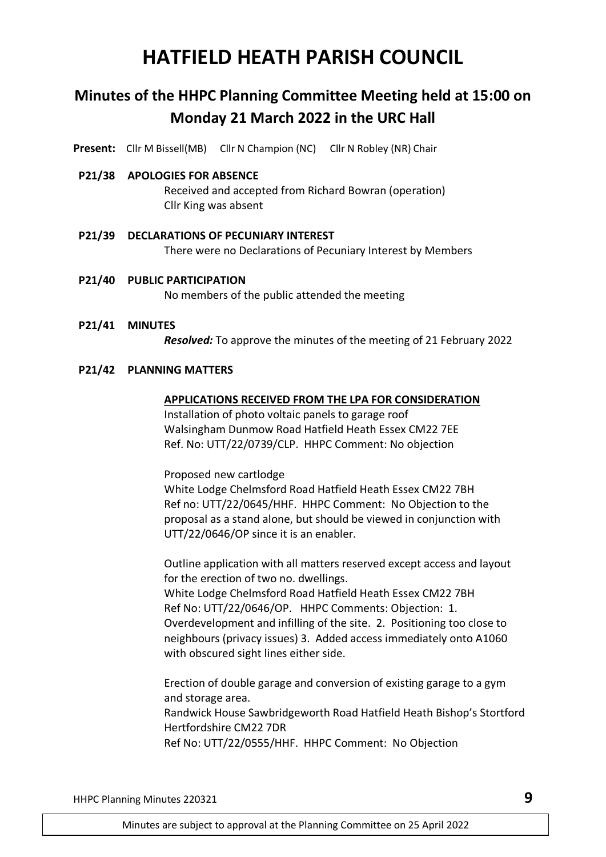# **HATFIELD HEATH PARISH COUNCIL**

# **Minutes of the HHPC Planning Committee Meeting held at 15:00 on Monday 21 March 2022 in the URC Hall**

**Present:** Cllr M Bissell(MB) Cllr N Champion (NC) Cllr N Robley (NR) Chair

#### **P21/38 APOLOGIES FOR ABSENCE**

Received and accepted from Richard Bowran (operation) Cllr King was absent

- **P21/39 DECLARATIONS OF PECUNIARY INTEREST** There were no Declarations of Pecuniary Interest by Members
- **P21/40 PUBLIC PARTICIPATION** No members of the public attended the meeting
- **P21/41 MINUTES**

*Resolved:* To approve the minutes of the meeting of 21 February 2022

#### **P21/42 PLANNING MATTERS**

#### **APPLICATIONS RECEIVED FROM THE LPA FOR CONSIDERATION**

Installation of photo voltaic panels to garage roof Walsingham Dunmow Road Hatfield Heath Essex CM22 7EE Ref. No: UTT/22/0739/CLP. HHPC Comment: No objection

Proposed new cartlodge

White Lodge Chelmsford Road Hatfield Heath Essex CM22 7BH Ref no: UTT/22/0645/HHF. HHPC Comment: No Objection to the proposal as a stand alone, but should be viewed in conjunction with UTT/22/0646/OP since it is an enabler.

Outline application with all matters reserved except access and layout for the erection of two no. dwellings. White Lodge Chelmsford Road Hatfield Heath Essex CM22 7BH Ref No: UTT/22/0646/OP. HHPC Comments: Objection: 1. Overdevelopment and infilling of the site. 2. Positioning too close to neighbours (privacy issues) 3. Added access immediately onto A1060 with obscured sight lines either side.

Erection of double garage and conversion of existing garage to a gym and storage area. Randwick House Sawbridgeworth Road Hatfield Heath Bishop's Stortford Hertfordshire CM22 7DR Ref No: UTT/22/0555/HHF. HHPC Comment: No Objection

HHPC Planning Minutes 220321 **9**